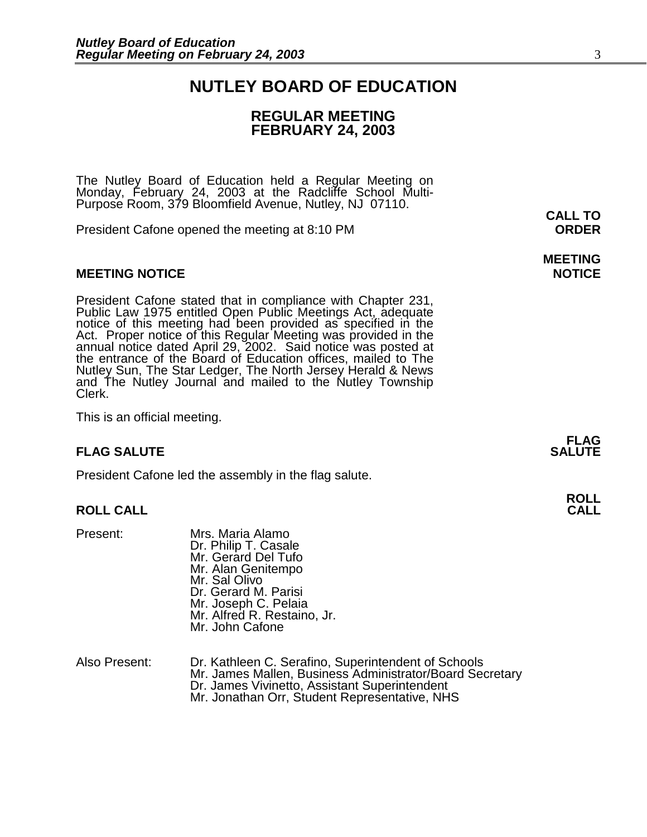### **NUTLEY BOARD OF EDUCATION**

### **REGULAR MEETING FEBRUARY 24, 2003**

The Nutley Board of Education held a Regular Meeting on Monday, February 24, 2003 at the Radcliffe School Multi-Purpose Room, 379 Bloomfield Avenue, Nutley, NJ 07110.

President Cafone opened the meeting at 8:10 PM **ORDER**

#### **MEETING NOTICE NOTICE REPORTS AND ALCOHOL**

President Cafone stated that in compliance with Chapter 231, Public Law 1975 entitled Open Public Meetings Act, adequate notice of this meeting had been provided as specified in the Act. Proper notice of this Regular Meeting was provided in the annual notice dated April 29, 2002. Said notice was posted at the entrance of the Board of Education offices, mailed to The Nutley Sun, The Star Ledger, The North Jersey Herald & News and The Nutley Journal and mailed to the Nutley Township Clerk.

This is an official meeting.

#### **FLAG SALUTE** SALUTE

President Cafone led the assembly in the flag salute.

#### **ROLL CALL CALL**

- Present: Mrs. Maria Alamo<br>Dr. Philip T. Casale Mr. Gerard Del Tufo Mr. Alan Genitempo Mr. Sal Olivo Dr. Gerard M. Parisi<br>Mr. Joseph C. Pelaia Mr. Alfred R. Restaino, Jr. Mr. John Cafone
- Also Present: Dr. Kathleen C. Serafino, Superintendent of Schools Mr. James Mallen, Business Administrator/Board Secretary<br>Dr. James Vivinetto, Assistant Superintendent<br>Mr. Jonathan Orr, Student Representative, NHS

**CALL TO** 

**MEETING** 

**FLAG** 

**ROLL**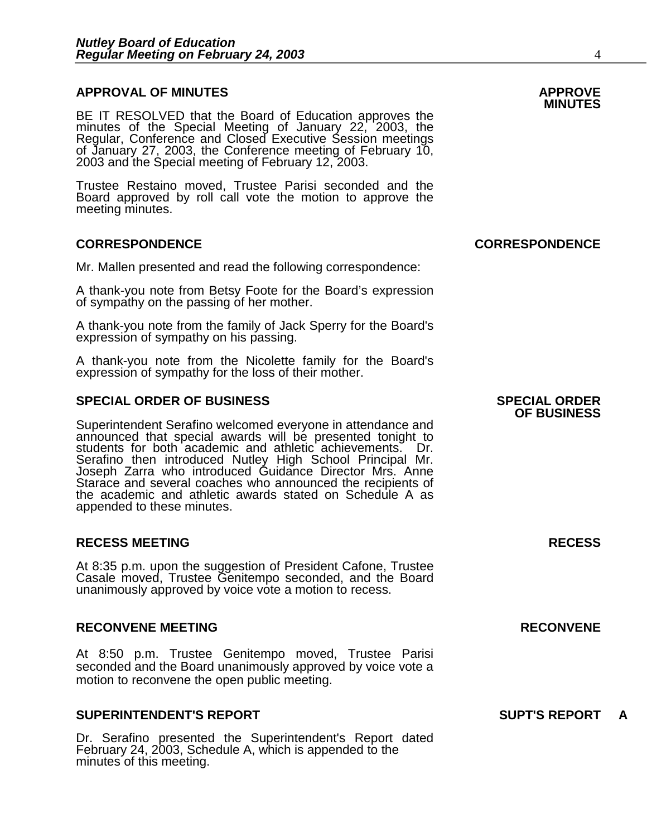### **APPROVAL OF MINUTES APPROVE**

BE IT RESOLVED that the Board of Education approves the minutes of the Special Meeting of January 22, 2003, the Regular, Conference and Closed Executive Session meetings of January 27, 2003, the Conference meeting of February 10, 2003 and the Special meeting of February 12, 2003.

Trustee Restaino moved, Trustee Parisi seconded and the Board approved by roll call vote the motion to approve the meeting minutes.

#### **CORRESPONDENCE CORRESPONDENCE**

Mr. Mallen presented and read the following correspondence:

A thank-you note from Betsy Foote for the Board's expression of sympathy on the passing of her mother.

A thank-you note from the family of Jack Sperry for the Board's expression of sympathy on his passing.

A thank-you note from the Nicolette family for the Board's expression of sympathy for the loss of their mother.

#### **SPECIAL ORDER OF BUSINESS SPECIAL ORDER**

Superintendent Serafino welcomed everyone in attendance and announced that special awards will be presented tonight to students for both academic and athletic achievements. Dr. Serafino then introduced Nutley High School Principal Mr. Joseph Zarra who introduced Guidance Director Mrs. Anne Starace and several coaches who announced the recipients of the academic and athletic awards stated on Schedule A as appended to these minutes.

#### **RECESS MEETING RECESS**

At 8:35 p.m. upon the suggestion of President Cafone, Trustee Casale moved, Trustee Genitempo seconded, and the Board unanimously approved by voice vote a motion to recess.

#### **RECONVENE MEETING RECONVENE**

At 8:50 p.m. Trustee Genitempo moved, Trustee Parisi seconded and the Board unanimously approved by voice vote a motion to reconvene the open public meeting.

#### **SUPERINTENDENT'S REPORT SUPT'S REPORT A**

Dr. Serafino presented the Superintendent's Report dated February 24, 2003, Schedule A, which is appended to the minutes of this meeting.

### **OF BUSINESS**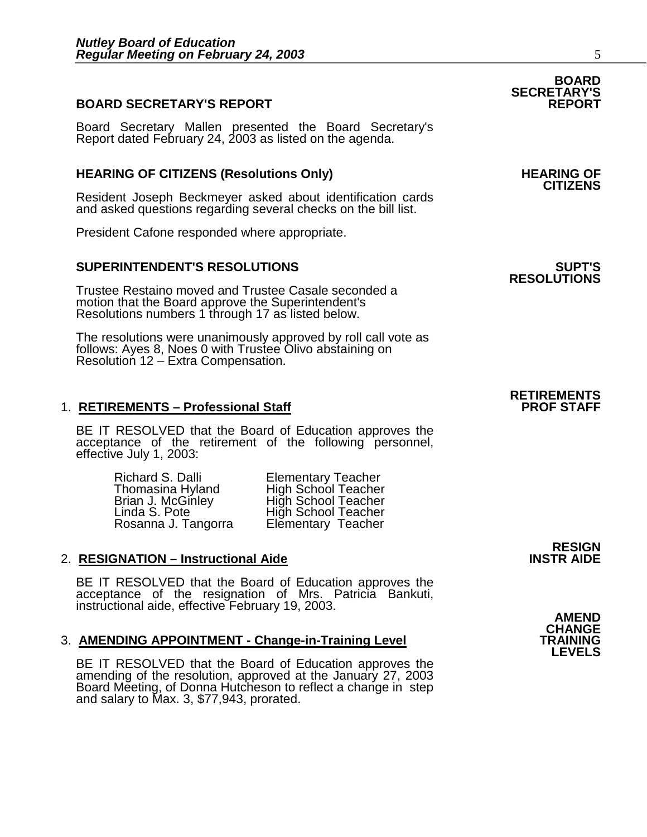#### **BOARD SECRETARY'S REPORT**

Board Secretary Mallen presented the Board Secretary's Report dated February 24, 2003 as listed on the agenda.

### **HEARING OF CITIZENS (Resolutions Only) HEARING OF CITIZENS**

Resident Joseph Beckmeyer asked about identification cards and asked questions regarding several checks on the bill list.

President Cafone responded where appropriate.

#### **SUPERINTENDENT'S RESOLUTIONS SUPT'S**

Trustee Restaino moved and Trustee Casale seconded a motion that the Board approve the Superintendent's Resolutions numbers 1 through 17 as listed below.

The resolutions were unanimously approved by roll call vote as follows: Ayes 8, Noes 0 with Trustee Olivo abstaining on Resolution 12 – Extra Compensation.

#### 1. **RETIREMENTS - Professional Staff**

BE IT RESOLVED that the Board of Education approves the acceptance of the retirement of the following personnel, effective July 1, 2003:

> Richard S. Dalli **Elementary Teacher**<br>Thomasina Hyland High School Teacher Rosanna J. Tangorra Elementary Teacher

Thomasina Hyland High School Teacher<br>Brian J. McGinley High School Teacher Brian J. McGinley High School Teacher<br>Linda S. Pote High School Teacher High School Teacher

#### **2. RESIGNATION – Instructional Aide**

BE IT RESOLVED that the Board of Education approves the acceptance of the resignation of Mrs. Patricia Bankuti, instructional aide, effective February 19, 2003. **AMEND** 

#### 3. AMENDING APPOINTMENT - Change-in-Training Level

BE IT RESOLVED that the Board of Education approves the amending of the resolution, approved at the January 27, 2003 Board Meeting, of Donna Hutcheson to reflect a change in step and salary to Max. 3, \$77,943, prorated.

**SECRETARY'S** 

## **RESOLUTIONS**

### **RETIREMENTS**

**RESIGN<br>INSTR AIDE** 

**CHANGE LEVELS** 

**BOARD**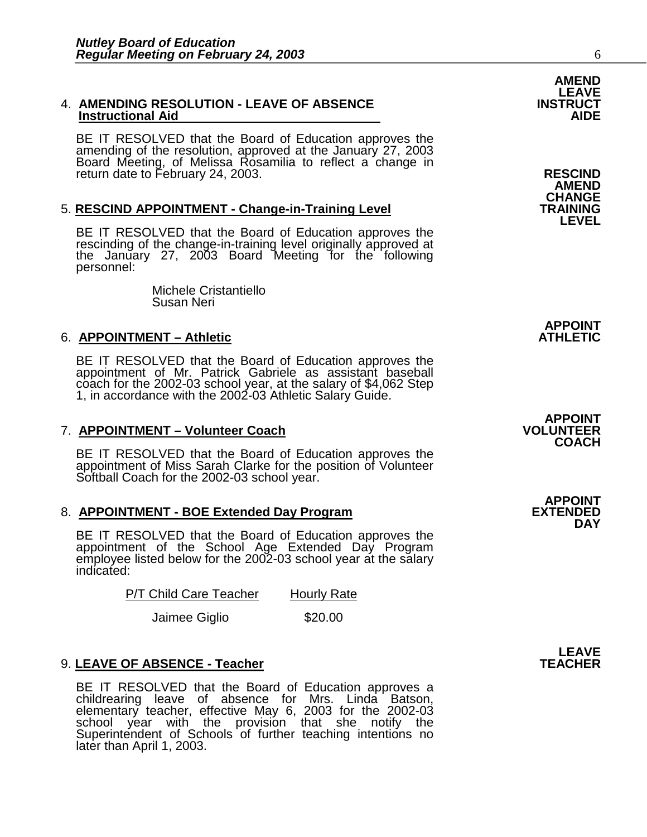#### 4. **AMENDING RESOLUTION - LEAVE OF ABSENCE INSTRUCT Instructional Aid**

BE IT RESOLVED that the Board of Education approves the amending of the resolution, approved at the January 27, 2003 Board Meeting, of Melissa Rosamilia to reflect a change in return date to February 24, 2003. **RESCIND** 

#### 5. **RESCIND APPOINTMENT - Change-in-Training Level**

BE IT RESOLVED that the Board of Education approves the rescinding of the change-in-training level originally approved at the January 27, 2003 Board Meeting for the following personnel:

> Michele Cristantiello Susan Neri

#### 6. **APPOINTMENT – Athletic**

BE IT RESOLVED that the Board of Education approves the appointment of Mr. Patrick Gabriele as assistant baseball coach for the 2002-03 school year, at the salary of \$4,062 Step 1, in accordance with the 2002-03 Athletic Salary Guide.

#### **7. APPOINTMENT – Volunteer Coach**

BE IT RESOLVED that the Board of Education approves the appointment of Miss Sarah Clarke for the position of Volunteer Softball Coach for the 2002-03 school year.

#### 8. **APPOINTMENT - BOE Extended Day Program**

BE IT RESOLVED that the Board of Education approves the appointment of the School Age Extended Day Program employee listed below for the 2002-03 school year at the salary indicated:

P/T Child Care Teacher Hourly Rate

Jaimee Giglio  $$20.00$ 

#### 9. LEAVE OF ABSENCE - Teacher

BE IT RESOLVED that the Board of Education approves a childrearing leave of absence for Mrs. Linda Batson, elementary teacher, effective May 6, 2003 for the 2002-03 school year with the provision that she notify the Superintendent of Schools of further teaching intentions no later than April 1, 2003.

**AMEND CHANGE LEVEL** 

**APPOINT** 

### **APPOINT COACH**

**APPOINT DAY** 

**LEAVE**<br>TEACHER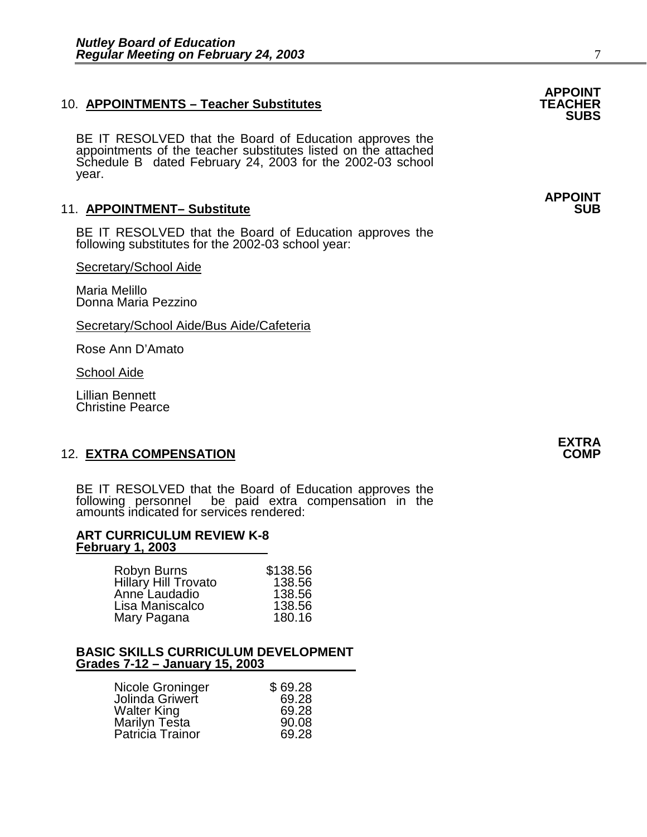#### 10. **APPOINTMENTS - Teacher Substitutes**

BE IT RESOLVED that the Board of Education approves the appointments of the teacher substitutes listed on the attached Schedule B dated February 24, 2003 for the 2002-03 school year.

#### 11. **APPOINTMENT- Substitute**

BE IT RESOLVED that the Board of Education approves the following substitutes for the 2002-03 school year:

Secretary/School Aide

Maria Melillo Donna Maria Pezzino

Secretary/School Aide/Bus Aide/Cafeteria

Rose Ann D'Amato

School Aide

Lillian Bennett Christine Pearce

#### **12. EXTRA COMPENSATION**

BE IT RESOLVED that the Board of Education approves the following personnel be paid extra compensation in the amounts indicated for services rendered:

#### **ART CURRICULUM REVIEW K-8 February 1, 2003**

| Robyn Burns          | \$138.56 |
|----------------------|----------|
| Hillary Hill Trovato | 138.56   |
| Anne Laudadio        | 138.56   |
| Lisa Maniscalco      | 138.56   |
| Mary Pagana          | 180.16   |

#### **BASIC SKILLS CURRICULUM DEVELOPMENT Grades 7-12 – January 15, 2003**

| Nicole Groninger                  | \$69.28 |
|-----------------------------------|---------|
| Jolinda Griwert                   | 69.28   |
| <b>Walter King</b>                | 69.28   |
|                                   | 90.08   |
| Marilyn Testa<br>Patricia Trainor | 69.28   |

**APPOINT SUBS** 

**APPOINT**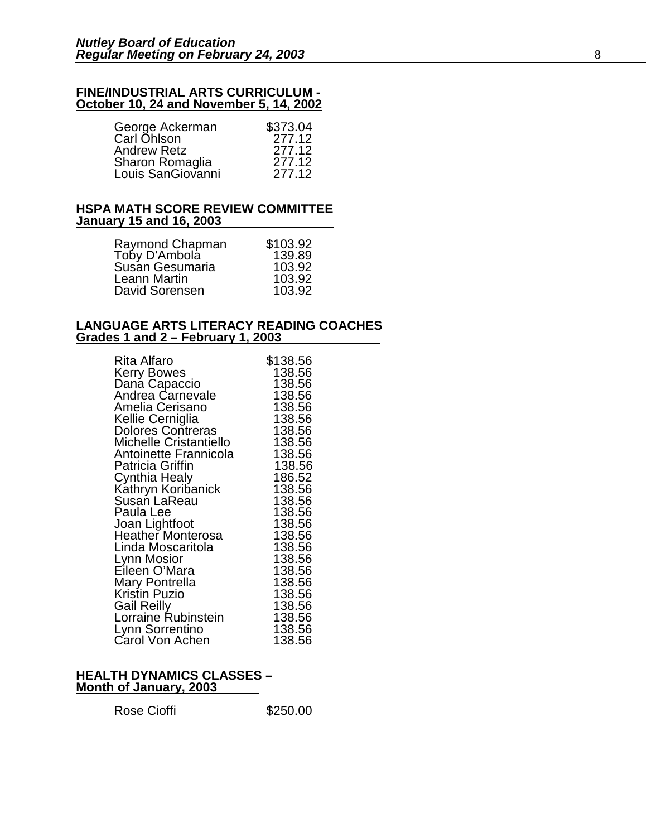#### **FINE/INDUSTRIAL ARTS CURRICULUM - October 10, 24 and November 5, 14, 2002**

| George Ackerman    | \$373.04 |
|--------------------|----------|
| Carl Ohlson        | 277.12   |
| <b>Andrew Retz</b> | 277.12   |
| Sharon Romaglia    | 277.12   |
| Louis SanGiovanni  | 277.12   |

#### **HSPA MATH SCORE REVIEW COMMITTEE January 15 and 16, 2003**

| Raymond Chapman<br>Toby D'Ambola<br>Susán Gesumaria<br>Leann Martin<br>David Sorensen | \$103.92<br>139.89<br>103.92<br>103.92<br>103.92 |
|---------------------------------------------------------------------------------------|--------------------------------------------------|
|---------------------------------------------------------------------------------------|--------------------------------------------------|

#### **LANGUAGE ARTS LITERACY READING COACHES Grades 1 and 2 – February 1, 2003**

| Rita Alfaro                        | \$138.56 |
|------------------------------------|----------|
| <b>Kerry Bowes</b>                 | 138.56   |
|                                    | 138.56   |
| Daná Capaccio<br>Andrea Carnevale  | 138.56   |
| Amelia Cerisano                    | 138.56   |
| Kellie Cerniglia                   | 138.56   |
| Dolores Contreras                  | 138.56   |
| Michelle Cristantiello             | 138.56   |
| Antoinette Frannicola              | 138.56   |
| Patricia Griffin                   | 138.56   |
| Cynthia Healy                      | 186.52   |
|                                    | 138.56   |
| Káthryn Koribanick<br>Susan LaReau | 138.56   |
| Paula Lee                          | 138.56   |
| Joan Lightfoot                     | 138.56   |
| <b>Heather Monterosa</b>           | 138.56   |
| Linda Moscaritola                  | 138.56   |
| Lynn Mosior                        | 138.56   |
| Eileen O'Mara                      | 138.56   |
| Mary Pontrella<br>Kristin Puzio    | 138.56   |
|                                    | 138.56   |
| Gail Reilly                        | 138.56   |
| Lorraine Rubinstein                | 138.56   |
| Lynn Sorrentino                    | 138.56   |
| Carol Von Achen                    | 138.56   |

#### **HEALTH DYNAMICS CLASSES – Month of January, 2003**

Rose Cioffi **\$250.00**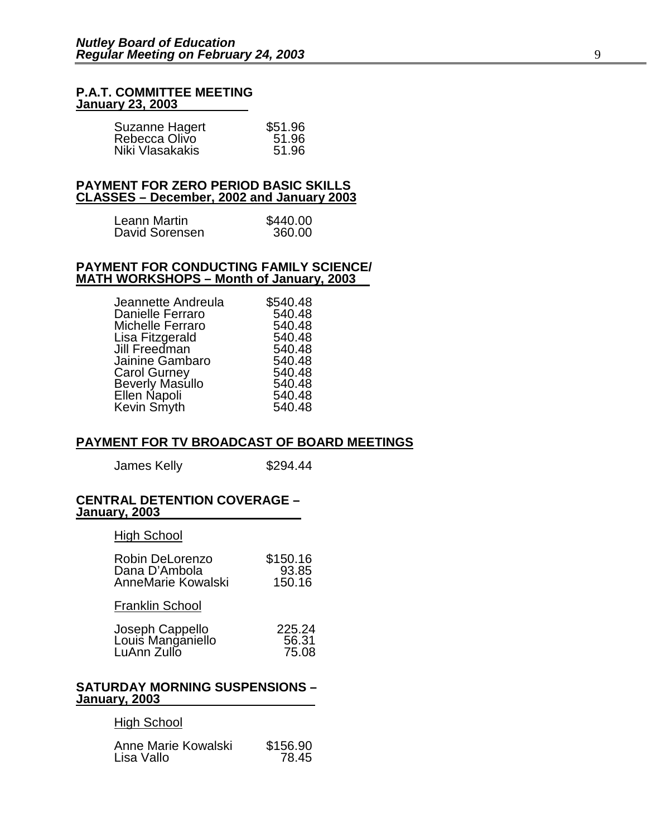#### **P.A.T. COMMITTEE MEETING January 23, 2003**

| Suzanne Hagert  | \$51.96 |
|-----------------|---------|
| Rebecca Olivo   | 51.96   |
| Niki Vlasakakis | 51.96   |

#### **PAYMENT FOR ZERO PERIOD BASIC SKILLS CLASSES – December, 2002 and January 2003**

| Leann Martin   | \$440.00 |
|----------------|----------|
| David Sorensen | 360.00   |

#### **PAYMENT FOR CONDUCTING FAMILY SCIENCE/ MATH WORKSHOPS – Month of January, 2003**

| \$540.48 |
|----------|
| 540.48   |
| 540.48   |
| 540.48   |
| 540.48   |
| 540.48   |
| 540.48   |
| 540.48   |
| 540.48   |
| 540.48   |
|          |

#### **PAYMENT FOR TV BROADCAST OF BOARD MEETINGS**

James Kelly \$294.44

#### **CENTRAL DETENTION COVERAGE – January, 2003**

High School

| Robin DeLorenzo    | \$150.16 |
|--------------------|----------|
| Dana D'Ambola      | 93.85    |
| AnneMarie Kowalski | 150.16   |

Franklin School

| Joseph Cappello   | 225.24 |
|-------------------|--------|
| Louis Manganiello | 56.31  |
| LuAnn Zullo       | 75.08  |

#### **SATURDAY MORNING SUSPENSIONS – January, 2003**

#### **High School**

| Anne Marie Kowalski | \$156.90 |
|---------------------|----------|
| Lisa Vallo          | 78.45    |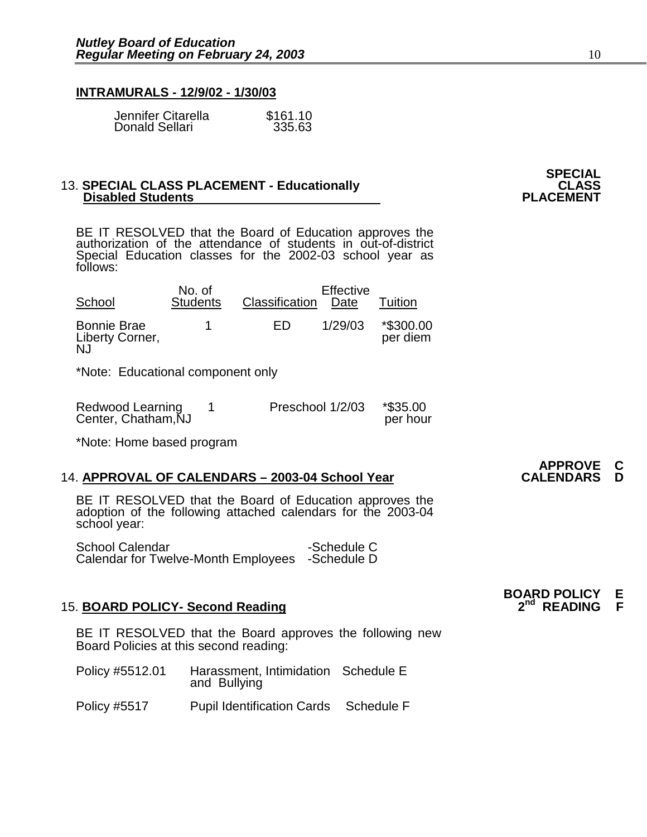#### **INTRAMURALS - 12/9/02 - 1/30/03**

| Jennifer Citarella | \$161.10 |
|--------------------|----------|
| Donald Sellari     | 335.63   |

#### 13. **SPECIAL CLASS PLACEMENT - Educationally CLASS Disabled Students**

BE IT RESOLVED that the Board of Education approves the authorization of the attendance of students in out-of-district Special Education classes for the 2002-03 school year as follows:

| School                                             | No. of<br><b>Students</b> | Classification | Effective<br>Date | Tuition               |
|----------------------------------------------------|---------------------------|----------------|-------------------|-----------------------|
| <b>Bonnie Brae</b><br>Liberty Corner,<br><b>NJ</b> |                           | ED             | 1/29/03           | *\$300.00<br>per diem |

\*Note: Educational component only

| Redwood Learning<br>Center, Chatham, NJ | Preschool 1/2/03 | *\$35.00<br>per hour |
|-----------------------------------------|------------------|----------------------|
|                                         |                  |                      |

\*Note: Home based program

#### 14. **APPROVAL OF CALENDARS - 2003-04 School Year**

BE IT RESOLVED that the Board of Education approves the adoption of the following attached calendars for the 2003-04 school year:

School Calendar -Schedule C Calendar for Twelve-Month Employees -Schedule D

#### **15. BOARD POLICY- Second Reading**

BE IT RESOLVED that the Board approves the following new Board Policies at this second reading:

| Policy #5512.01     | Harassment, Intimidation Schedule E<br>and Bullying |            |  |
|---------------------|-----------------------------------------------------|------------|--|
| <b>Policy #5517</b> | <b>Pupil Identification Cards</b>                   | Schedule F |  |

# **SPECIAL**

# **APPROVE C**

**BOARD POLICY E**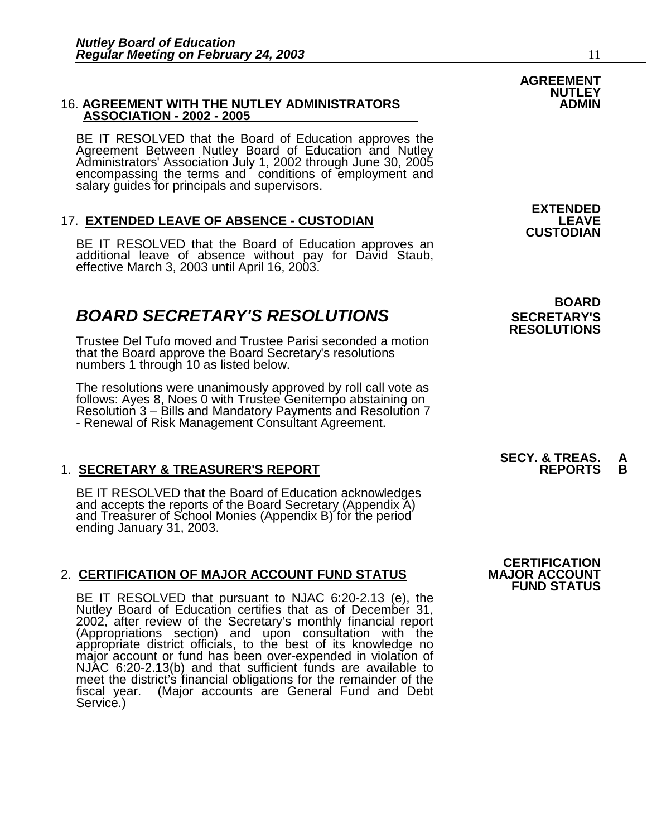#### **16. AGREEMENT WITH THE NUTLEY ADMINISTRATORS ASSOCIATION - 2002 - 2005**

BE IT RESOLVED that the Board of Education approves the Agreement Between Nutley Board of Education and Nutley Administrators' Association July 1, 2002 through June 30, 2005 encompassing the terms and conditions of employment and salary guides for principals and supervisors.

### 17. **EXTENDED LEAVE OF ABSENCE - CUSTODIAN**

BE IT RESOLVED that the Board of Education approves an additional leave of absence without pay for David Staub, effective March 3, 2003 until April 16, 2003.

### **BOARD SECRETARY'S RESOLUTIONS** SECRETARY'S

Trustee Del Tufo moved and Trustee Parisi seconded a motion that the Board approve the Board Secretary's resolutions numbers 1 through 10 as listed below.

The resolutions were unanimously approved by roll call vote as follows: Ayes 8, Noes 0 with Trustee Genitempo abstaining on Resolution 3 – Bills and Mandatory Payments and Resolution 7 - Renewal of Risk Management Consultant Agreement.

#### 1. **SECRETARY & TREASURER'S REPORT**

BE IT RESOLVED that the Board of Education acknowledges and accepts the reports of the Board Secretary (Appendix A) and Treasurer of School Monies (Appendix B) for the period ending January 31, 2003.

#### 2. CERTIFICATION OF MAJOR ACCOUNT FUND STATUS

BE IT RESOLVED that pursuant to NJAC 6:20-2.13 (e), the Nutley Board of Education certifies that as of December 31, 2002, after review of the Secretary's monthly financial report (Appropriations section) and upon consultation with the appropriate district officials, to the best of its knowledge no major account or fund has been over-expended in violation of NJAC 6:20-2.13(b) and that sufficient funds are available to meet the district's financial obligations for the remainder of the fiscal year. (Major accounts are General Fund and Debt Service.)

**BOARD** 

**EXTENDED**<br>LEAVE

**CUSTODIAN** 

**RESOLUTIONS** 

## **SECY. & TREAS. A**

**CERTIFICATION<br>MAJOR ACCOUNT FUND STATUS** 

### **AGREEMENT NUTLEY**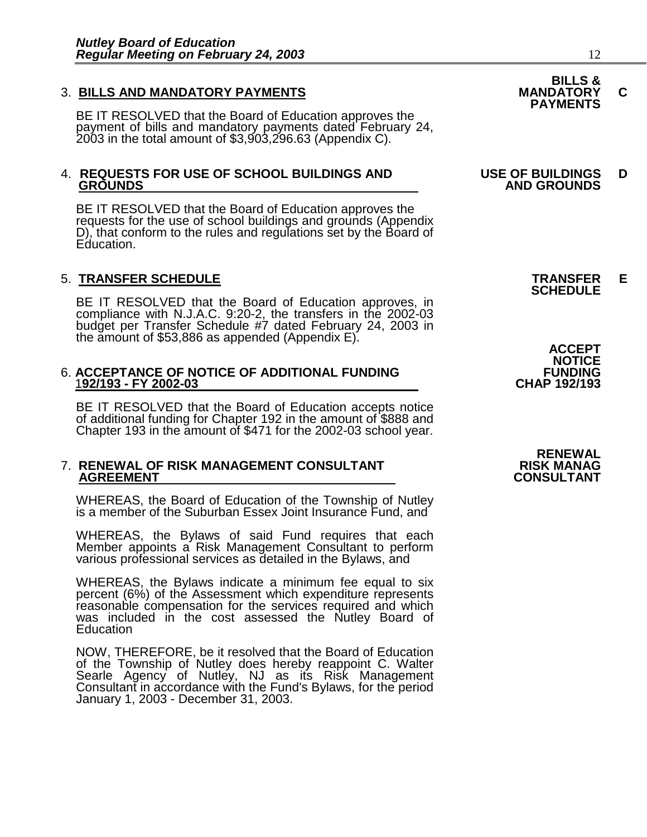### 3. **BILLS AND MANDATORY PAYMENTS MANDATORY C PAYMENTS**

BE IT RESOLVED that the Board of Education approves the payment of bills and mandatory payments dated February 24, 2003 in the total amount of \$3,903,296.63 (Appendix C).

## 4. **REQUESTS FOR USE OF SCHOOL BUILDINGS AND USE OF BUILDINGS D**

BE IT RESOLVED that the Board of Education approves the requests for the use of school buildings and grounds (Appendix D), that conform to the rules and regulations set by the Board of Education.

### 5. **TRANSFER SCHEDULE TRANSFER E SCHEDULE**

BE IT RESOLVED that the Board of Education approves, in compliance with N.J.A.C. 9:20-2, the transfers in the 2002-03 budget per Transfer Schedule #7 dated February 24, 2003 in the amount of \$53,886 as appended (Appendix E). <br> **ACCEPT** 

### 6. **ACCEPTANCE OF NOTICE OF ADDITIONAL FUNDING FUNDING** 1**92/193 - FY 2002-03 CHAP 192/193**

BE IT RESOLVED that the Board of Education accepts notice of additional funding for Chapter 192 in the amount of \$888 and Chapter 193 in the amount of \$471 for the 2002-03 school year.

### 7. **RENEWAL OF RISK MANAGEMENT CONSULTANT RISK MANAG**

WHEREAS, the Board of Education of the Township of Nutley is a member of the Suburban Essex Joint Insurance Fund, and

WHEREAS, the Bylaws of said Fund requires that each Member appoints a Risk Management Consultant to perform various professional services as detailed in the Bylaws, and

WHEREAS, the Bylaws indicate a minimum fee equal to six percent (6%) of the Assessment which expenditure represents reasonable compensation for the services required and which was included in the cost assessed the Nutley Board of **Education** 

NOW, THEREFORE, be it resolved that the Board of Education of the Township of Nutley does hereby reappoint C. Walter Searle Agency of Nutley, NJ as its Risk Management Consultant in accordance with the Fund's Bylaws, for the period January 1, 2003 - December 31, 2003.

# **BILLS &**

### **GROUNDS AND GROUNDS**

**NOTICE** 

 **RENEWAL CONSULTANT**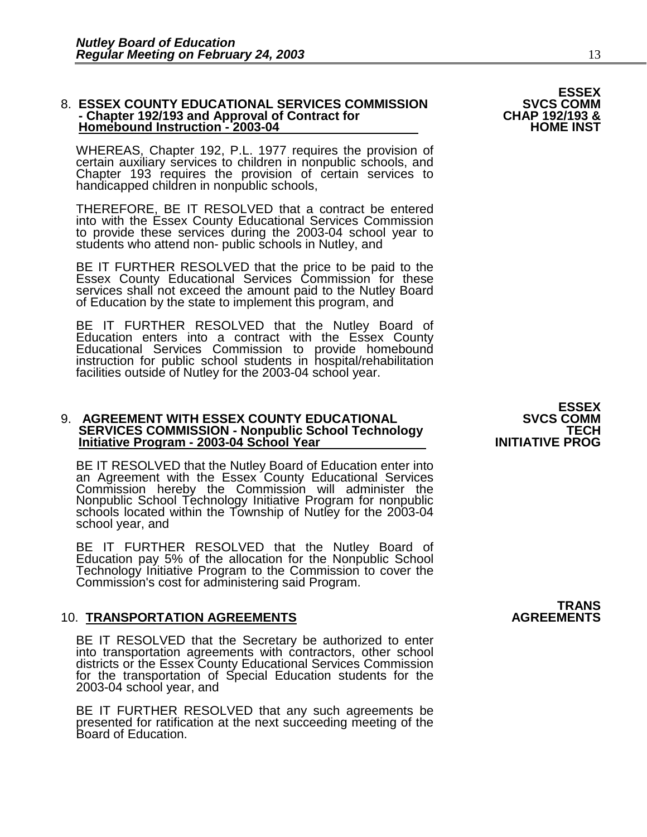#### 8. **ESSEX COUNTY EDUCATIONAL SERVICES COMMISSION** SVCS COMM<br>& CHAP 192/193 and Approval of Contract for CHAP 192/193 - **- Chapter 192/193 and Approval of Contract for CHAP 192/193 & Homebound Instruction - 2003-04**

WHEREAS, Chapter 192, P.L. 1977 requires the provision of certain auxiliary services to children in nonpublic schools, and Chapter 193 requires the provision of certain services to handicapped children in nonpublic schools,

THEREFORE, BE IT RESOLVED that a contract be entered into with the Essex County Educational Services Commission to provide these services during the 2003-04 school year to students who attend non- public schools in Nutley, and

BE IT FURTHER RESOLVED that the price to be paid to the Essex County Educational Services Commission for these services shall not exceed the amount paid to the Nutley Board of Education by the state to implement this program, and

BE IT FURTHER RESOLVED that the Nutley Board of Education enters into a contract with the Essex County Educational Services Commission to provide homebound instruction for public school students in hospital/rehabilitation facilities outside of Nutley for the 2003-04 school year.

#### 9. **AGREEMENT WITH ESSEX COUNTY EDUCATIONAL SVCS COMM SERVICES COMMISSION - Nonpublic School Technology TECH Initiative Program - 2003-04 School Year**

BE IT RESOLVED that the Nutley Board of Education enter into an Agreement with the Essex County Educational Services Commission hereby the Commission will administer the Nonpublic School Technology Initiative Program for nonpublic schools located within the Township of Nutley for the 2003-04 school year, and

BE IT FURTHER RESOLVED that the Nutley Board of Education pay 5% of the allocation for the Nonpublic School Technology Initiative Program to the Commission to cover the Commission's cost for administering said Program.

#### **10. TRANSPORTATION AGREEMENTS**

BE IT RESOLVED that the Secretary be authorized to enter into transportation agreements with contractors, other school districts or the Essex County Educational Services Commission for the transportation of Special Education students for the 2003-04 school year, and

BE IT FURTHER RESOLVED that any such agreements be presented for ratification at the next succeeding meeting of the Board of Education.

## **TRANS**<br>AGREEMENTS

# **ESSEX<br>SVCS COMM**

**ESSEX**<br>SVCS COMM